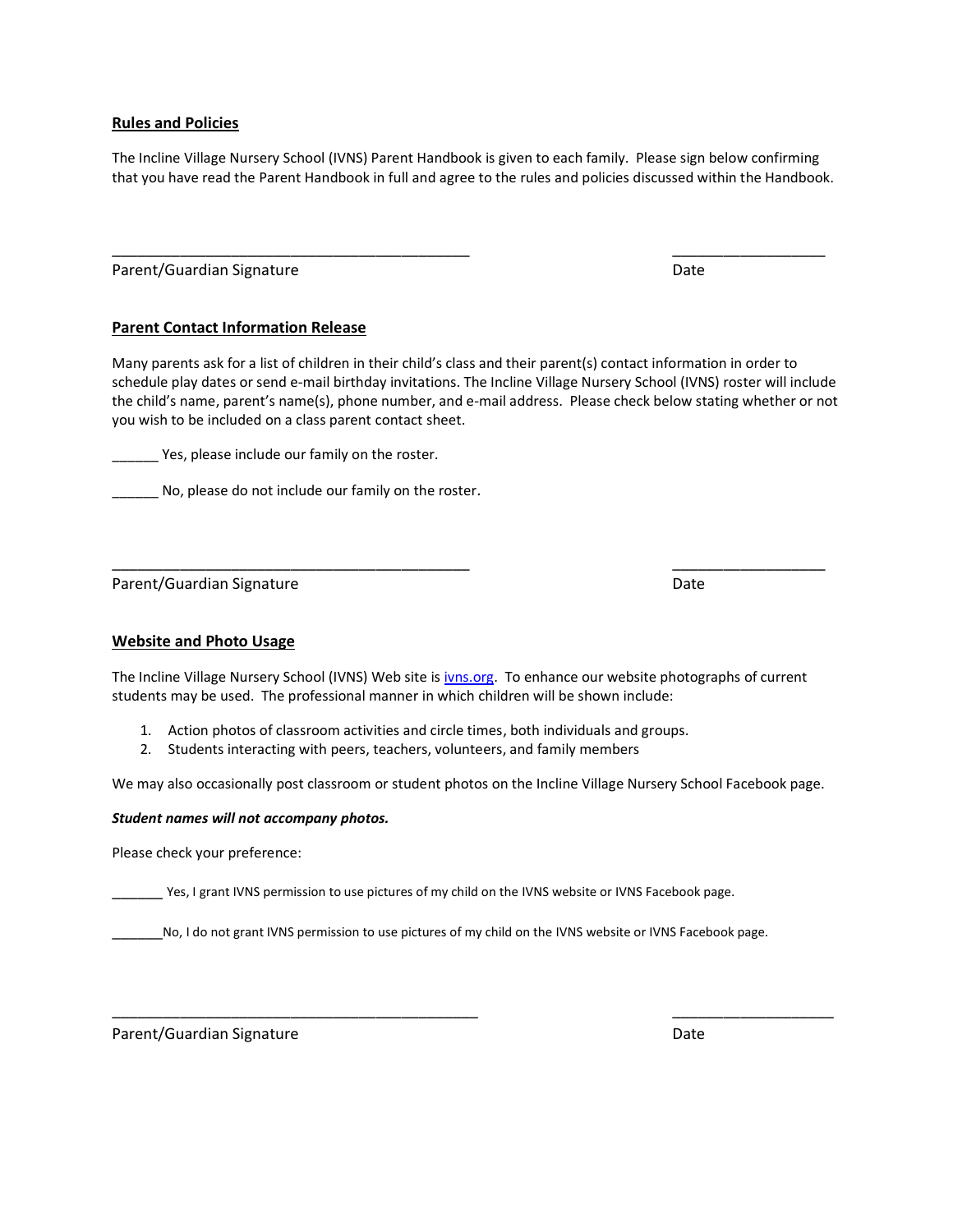### **Rules and Policies**

The Incline Village Nursery School (IVNS) Parent Handbook is given to each family. Please sign below confirming that you have read the Parent Handbook in full and agree to the rules and policies discussed within the Handbook.

\_\_\_\_\_\_\_\_\_\_\_\_\_\_\_\_\_\_\_\_\_\_\_\_\_\_\_\_\_\_\_\_\_\_\_\_\_\_\_\_\_\_ \_\_\_\_\_\_\_\_\_\_\_\_\_\_\_\_\_\_

Parent/Guardian Signature **Date of American Systems** Date Date

## **Parent Contact Information Release**

Many parents ask for a list of children in their child's class and their parent(s) contact information in order to schedule play dates or send e-mail birthday invitations. The Incline Village Nursery School (IVNS) roster will include the child's name, parent's name(s), phone number, and e-mail address. Please check below stating whether or not you wish to be included on a class parent contact sheet.

\_\_\_\_\_\_ Yes, please include our family on the roster.

\_\_\_\_\_\_ No, please do not include our family on the roster.

Parent/Guardian Signature **Date of American Systems** Date Date

## **Website and Photo Usage**

The Incline Village Nursery School (IVNS) Web site is ivns.org. To enhance our website photographs of current students may be used. The professional manner in which children will be shown include:

\_\_\_\_\_\_\_\_\_\_\_\_\_\_\_\_\_\_\_\_\_\_\_\_\_\_\_\_\_\_\_\_\_\_\_\_\_\_\_\_\_\_ \_\_\_\_\_\_\_\_\_\_\_\_\_\_\_\_\_\_

- 1. Action photos of classroom activities and circle times, both individuals and groups.
- 2. Students interacting with peers, teachers, volunteers, and family members

We may also occasionally post classroom or student photos on the Incline Village Nursery School Facebook page.

## *Student names will not accompany photos.*

Please check your preference:

Yes, I grant IVNS permission to use pictures of my child on the IVNS website or IVNS Facebook page.

\_\_\_\_\_\_No, I do not grant IVNS permission to use pictures of my child on the IVNS website or IVNS Facebook page.

\_\_\_\_\_\_\_\_\_\_\_\_\_\_\_\_\_\_\_\_\_\_\_\_\_\_\_\_\_\_\_\_\_\_\_\_\_\_\_\_\_\_\_ \_\_\_\_\_\_\_\_\_\_\_\_\_\_\_\_\_\_\_

Parent/Guardian Signature **Date of American Structure Date** Date Date